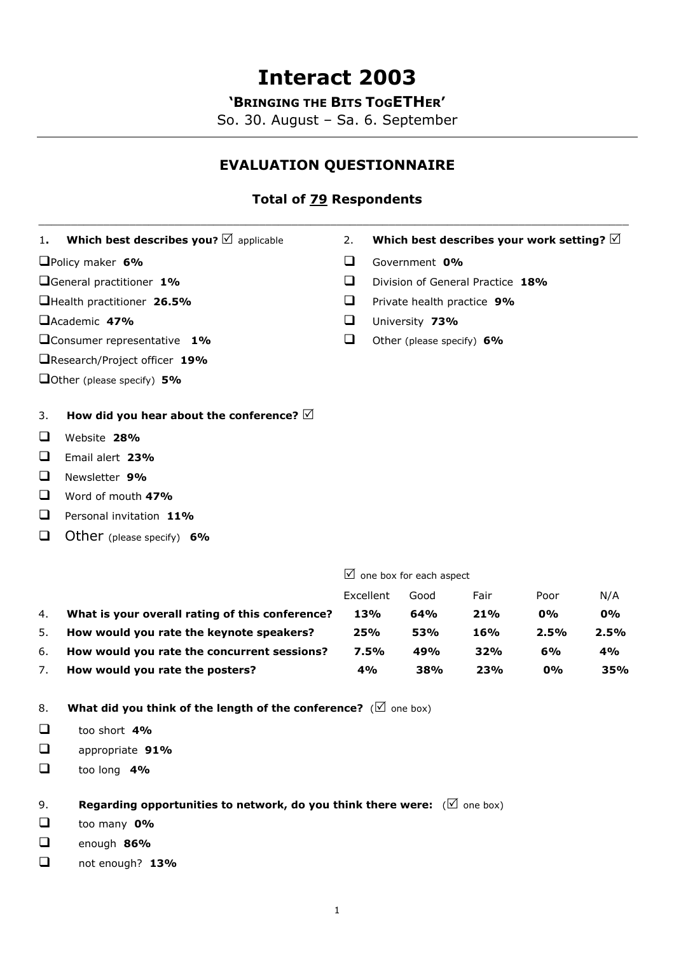# **Interact 2003**

**'BRINGING THE BITS TOGETHER'** 

So. 30. August – Sa. 6. September

## **EVALUATION QUESTIONNAIRE**

## **Total of 79 Respondents**

| 1.                                  | Which best describes you? $\mathbb Z$ applicable                           | 2.        | Which best describes your work setting? $\boxtimes$ |      |      |      |  |
|-------------------------------------|----------------------------------------------------------------------------|-----------|-----------------------------------------------------|------|------|------|--|
| Policy maker 6%                     |                                                                            | $\Box$    | Government 0%                                       |      |      |      |  |
| General practitioner 1%             |                                                                            | ❏         | Division of General Practice 18%                    |      |      |      |  |
| Health practitioner 26.5%           |                                                                            | ❏         | Private health practice 9%                          |      |      |      |  |
| Academic 47%                        |                                                                            | ❏         | University 73%                                      |      |      |      |  |
| <b>Q</b> Consumer representative 1% |                                                                            | $\Box$    | Other (please specify) 6%                           |      |      |      |  |
|                                     | □Research/Project officer 19%                                              |           |                                                     |      |      |      |  |
|                                     | Other (please specify) $5\%$                                               |           |                                                     |      |      |      |  |
| 3.                                  | How did you hear about the conference? $\boxtimes$                         |           |                                                     |      |      |      |  |
| ❏                                   | Website 28%                                                                |           |                                                     |      |      |      |  |
| ❏                                   | Email alert 23%                                                            |           |                                                     |      |      |      |  |
| ❏                                   | Newsletter 9%                                                              |           |                                                     |      |      |      |  |
| ❏                                   | Word of mouth 47%                                                          |           |                                                     |      |      |      |  |
| $\Box$                              | Personal invitation 11%                                                    |           |                                                     |      |      |      |  |
| □                                   | Other (please specify) $6\%$                                               |           |                                                     |      |      |      |  |
|                                     |                                                                            |           | $\boxtimes$ one box for each aspect                 |      |      |      |  |
|                                     |                                                                            | Excellent | Good                                                | Fair | Poor | N/A  |  |
| 4.                                  | What is your overall rating of this conference?                            | 13%       | 64%                                                 | 21%  | 0%   | 0%   |  |
| 5.                                  | How would you rate the keynote speakers?                                   | 25%       | 53%                                                 | 16%  | 2.5% | 2.5% |  |
| 6.                                  | How would you rate the concurrent sessions?                                | 7.5%      | 49%                                                 | 32%  | 6%   | 4%   |  |
| 7.                                  | How would you rate the posters?                                            | 4%        | 38%                                                 | 23%  | 0%   | 35%  |  |
| 8.                                  | What did you think of the length of the conference? ( $\boxtimes$ one box) |           |                                                     |      |      |      |  |
| ❏                                   | too short 4%                                                               |           |                                                     |      |      |      |  |

- appropriate **91%**
- too long **4%**

9. **Regarding opportunities to network, do you think there were:**  $(\forall$  one box)

- too many **0%**
- enough **86%**
- not enough? **13%**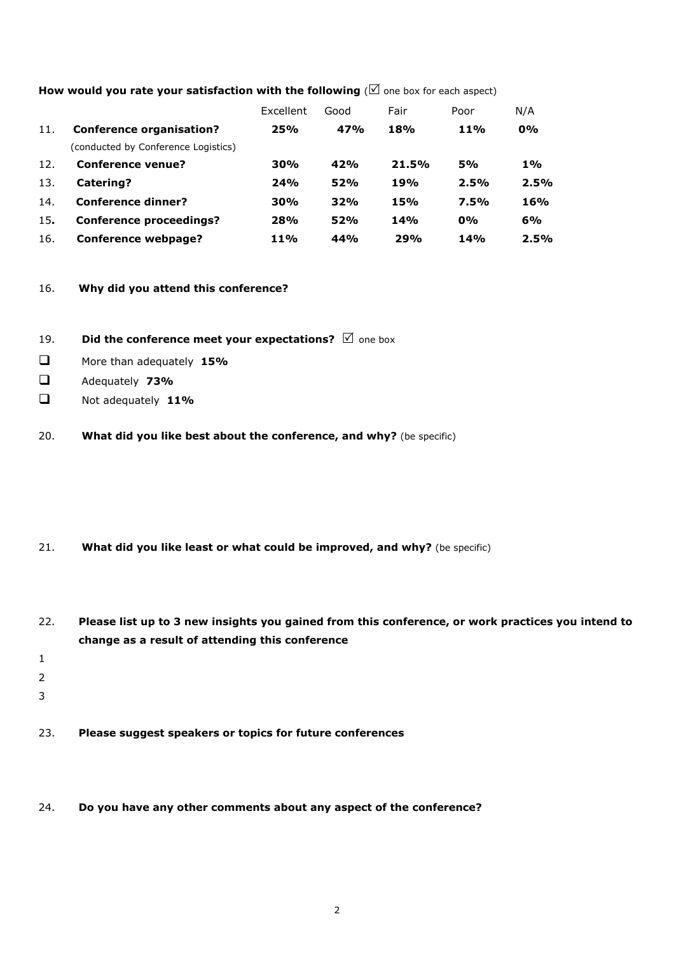|     |                                     | Excellent  | Good | Fair  | Poor       | N/A        |
|-----|-------------------------------------|------------|------|-------|------------|------------|
| 11. | <b>Conference organisation?</b>     | 25%        | 47%  | 18%   | <b>11%</b> | $0\%$      |
|     | (conducted by Conference Logistics) |            |      |       |            |            |
| 12. | <b>Conference venue?</b>            | 30%        | 42%  | 21.5% | <b>5%</b>  | 1%         |
| 13. | Catering?                           | 24%        | 52%  | 19%   | 2.5%       | 2.5%       |
| 14. | <b>Conference dinner?</b>           | 30%        | 32%  | 15%   | 7.5%       | <b>16%</b> |
| 15. | <b>Conference proceedings?</b>      | 28%        | 52%  | 14%   | 0%         | 6%         |
| 16. | Conference webpage?                 | <b>11%</b> | 44%  | 29%   | 14%        | 2.5%       |

#### How would you rate your satisfaction with the following ( $\boxtimes$  one box for each aspect)

#### 16. **Why did you attend this conference?**

- 19. **Did the conference meet your expectations?**  $\Box$  one box
- More than adequately **15%**
- Adequately **73%**
- Not adequately **11%**
- 20. **What did you like best about the conference, and why?** (be specific)

- 21. **What did you like least or what could be improved, and why?** (be specific)
- 22. **Please list up to 3 new insights you gained from this conference, or work practices you intend to change as a result of attending this conference**
- 1
- 
- 2
- 
- 3

23. **Please suggest speakers or topics for future conferences**

#### 24. **Do you have any other comments about any aspect of the conference?**